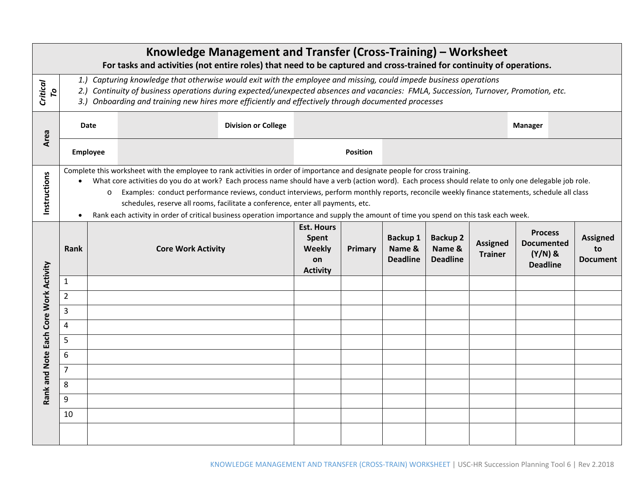| Knowledge Management and Transfer (Cross-Training) – Worksheet<br>For tasks and activities (not entire roles) that need to be captured and cross-trained for continuity of operations. |                        |                                                                                                                                                                                                                                                                                                                                                                                                                                                                                                                                                                                                                                                                              |  |                 |                                                               |                |                                              |                                              |                                   |                                                                     |                                          |  |
|----------------------------------------------------------------------------------------------------------------------------------------------------------------------------------------|------------------------|------------------------------------------------------------------------------------------------------------------------------------------------------------------------------------------------------------------------------------------------------------------------------------------------------------------------------------------------------------------------------------------------------------------------------------------------------------------------------------------------------------------------------------------------------------------------------------------------------------------------------------------------------------------------------|--|-----------------|---------------------------------------------------------------|----------------|----------------------------------------------|----------------------------------------------|-----------------------------------|---------------------------------------------------------------------|------------------------------------------|--|
| <b>Critical</b><br>p                                                                                                                                                                   |                        | 1.) Capturing knowledge that otherwise would exit with the employee and missing, could impede business operations<br>2.) Continuity of business operations during expected/unexpected absences and vacancies: FMLA, Succession, Turnover, Promotion, etc.<br>3.) Onboarding and training new hires more efficiently and effectively through documented processes                                                                                                                                                                                                                                                                                                             |  |                 |                                                               |                |                                              |                                              |                                   |                                                                     |                                          |  |
| Area                                                                                                                                                                                   | <b>Date</b>            |                                                                                                                                                                                                                                                                                                                                                                                                                                                                                                                                                                                                                                                                              |  |                 |                                                               |                |                                              |                                              | <b>Manager</b>                    |                                                                     |                                          |  |
|                                                                                                                                                                                        | <b>Employee</b>        |                                                                                                                                                                                                                                                                                                                                                                                                                                                                                                                                                                                                                                                                              |  | <b>Position</b> |                                                               |                |                                              |                                              |                                   |                                                                     |                                          |  |
| Instructions                                                                                                                                                                           | $\bullet$<br>$\bullet$ | Complete this worksheet with the employee to rank activities in order of importance and designate people for cross training.<br>What core activities do you do at work? Each process name should have a verb (action word). Each process should relate to only one delegable job role.<br>Examples: conduct performance reviews, conduct interviews, perform monthly reports, reconcile weekly finance statements, schedule all class<br>$\circ$<br>schedules, reserve all rooms, facilitate a conference, enter all payments, etc.<br>Rank each activity in order of critical business operation importance and supply the amount of time you spend on this task each week. |  |                 |                                                               |                |                                              |                                              |                                   |                                                                     |                                          |  |
| Rank and Note Each Core Work Activity                                                                                                                                                  | Rank                   | <b>Core Work Activity</b>                                                                                                                                                                                                                                                                                                                                                                                                                                                                                                                                                                                                                                                    |  |                 | <b>Est. Hours</b><br>Spent<br>Weekly<br>on<br><b>Activity</b> | <b>Primary</b> | <b>Backup 1</b><br>Name &<br><b>Deadline</b> | <b>Backup 2</b><br>Name &<br><b>Deadline</b> | <b>Assigned</b><br><b>Trainer</b> | <b>Process</b><br><b>Documented</b><br>$(Y/N)$ &<br><b>Deadline</b> | <b>Assigned</b><br>to<br><b>Document</b> |  |
|                                                                                                                                                                                        | 1                      |                                                                                                                                                                                                                                                                                                                                                                                                                                                                                                                                                                                                                                                                              |  |                 |                                                               |                |                                              |                                              |                                   |                                                                     |                                          |  |
|                                                                                                                                                                                        | $\overline{2}$         |                                                                                                                                                                                                                                                                                                                                                                                                                                                                                                                                                                                                                                                                              |  |                 |                                                               |                |                                              |                                              |                                   |                                                                     |                                          |  |
|                                                                                                                                                                                        | 3                      |                                                                                                                                                                                                                                                                                                                                                                                                                                                                                                                                                                                                                                                                              |  |                 |                                                               |                |                                              |                                              |                                   |                                                                     |                                          |  |
|                                                                                                                                                                                        | 4                      |                                                                                                                                                                                                                                                                                                                                                                                                                                                                                                                                                                                                                                                                              |  |                 |                                                               |                |                                              |                                              |                                   |                                                                     |                                          |  |
|                                                                                                                                                                                        | 5<br>6                 |                                                                                                                                                                                                                                                                                                                                                                                                                                                                                                                                                                                                                                                                              |  |                 |                                                               |                |                                              |                                              |                                   |                                                                     |                                          |  |
|                                                                                                                                                                                        | $\overline{7}$         |                                                                                                                                                                                                                                                                                                                                                                                                                                                                                                                                                                                                                                                                              |  |                 |                                                               |                |                                              |                                              |                                   |                                                                     |                                          |  |
|                                                                                                                                                                                        | 8                      |                                                                                                                                                                                                                                                                                                                                                                                                                                                                                                                                                                                                                                                                              |  |                 |                                                               |                |                                              |                                              |                                   |                                                                     |                                          |  |
|                                                                                                                                                                                        | 9                      |                                                                                                                                                                                                                                                                                                                                                                                                                                                                                                                                                                                                                                                                              |  |                 |                                                               |                |                                              |                                              |                                   |                                                                     |                                          |  |
|                                                                                                                                                                                        | 10                     |                                                                                                                                                                                                                                                                                                                                                                                                                                                                                                                                                                                                                                                                              |  |                 |                                                               |                |                                              |                                              |                                   |                                                                     |                                          |  |
|                                                                                                                                                                                        |                        |                                                                                                                                                                                                                                                                                                                                                                                                                                                                                                                                                                                                                                                                              |  |                 |                                                               |                |                                              |                                              |                                   |                                                                     |                                          |  |